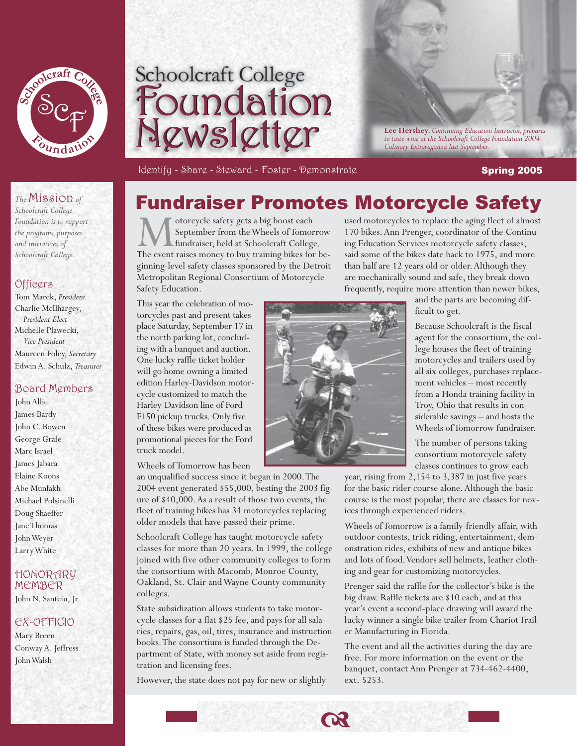



*to taste wine at the Schoolcraft College Foundation 2004 Culinary Extravaganza last September.*

Identify - Share - Steward - Foster - Đemonstrate Spring Spring 2005

#### *The* Mission *of*

*School craft College Foun da tion is to support the programs, purposes and initiatives of Schoolcraft College.*

#### Officers

Tom Marek, *President*  Charlie McIlhargey*, President Elect* Michelle Plawecki,  *Vice President* Maureen Foley, *Secretary* Edwin A. Schulz, *Treasurer* 

#### Board Members

John Allie James Bardy John C. Bowen George Grafe Marc Israel James Jabara Elaine Koons Abe Munfakh Michael Polsinelli Doug Shaeffer Jane Thomas John Weyer Larry White

### HONORARY MEM BER

John N. Santeiu, Jr.

#### EX-OFFICIO

Mary Breen Conway A. Jeffress John Walsh



Motorcycle safety gets a big boost each September from the Wheels of Tomorrow<br>
fundraiser, held at Schoolcraft College.<br>
The event raises money to buy training bikes for be-September from the Wheels of Tomorrow fundraiser, held at Schoolcraft College. ginning-level safety classes sponsored by the Detroit Metropolitan Regional Consortium of Motorcycle Safety Education.

used motorcycles to replace the aging fleet of almost 170 bikes. Ann Prenger, coordinator of the Continuing Education Services motorcycle safety classes, said some of the bikes date back to 1975, and more than half are 12 years old or older. Although they are mechanically sound and safe, they break down frequently, require more attention than newer bikes,

This year the celebration of motorcycles past and present takes place Saturday, September 17 in the north parking lot, concluding with a banquet and auction. One lucky raffle ticket holder will go home owning a limited edition Harley-Davidson motorcycle customized to match the Harley-Davidson line of Ford F150 pickup trucks. Only five of these bikes were produced as promotional pieces for the Ford truck model.

Wheels of Tomorrow has been

an unqualified success since it began in 2000. The 2004 event generated \$55,000, besting the 2003 figure of \$40,000. As a result of those two events, the fleet of training bikes has 34 motorcycles replacing older models that have passed their prime.

Schoolcraft College has taught motorcycle safety classes for more than 20 years. In 1999, the college joined with five other community colleges to form the consortium with Macomb, Monroe County, Oakland, St. Clair and Wayne County community colleges.

State subsidization allows students to take motorcycle classes for a flat \$25 fee, and pays for all salaries, repairs, gas, oil, tires, insurance and instruction books. The consortium is funded through the Department of State, with money set aside from registration and licensing fees.

However, the state does not pay for new or slightly



and the parts are becoming dif-

ficult to get.

Because Schoolcraft is the fiscal agent for the consortium, the college houses the fleet of training motorcycles and trailers used by all six colleges, purchases replacement vehicles – most recently from a Honda training facility in Troy, Ohio that results in considerable savings – and hosts the Wheels of Tomorrow fundraiser.

The number of persons taking consortium motorcycle safety classes continues to grow each

year, rising from 2,154 to 3,387 in just five years for the basic rider course alone. Although the basic course is the most popular, there are classes for novices through experienced riders.

Wheels of Tomorrow is a family-friendly affair, with outdoor contests, trick riding, entertainment, demonstration rides, exhibits of new and antique bikes and lots of food. Vendors sell helmets, leather clothing and gear for customizing motorcycles.

Prenger said the raffle for the collector's bike is the big draw. Raffle tickets are \$10 each, and at this year's event a second-place drawing will award the lucky winner a single bike trailer from Chariot Trailer Manufacturing in Florida.

The event and all the activities during the day are free. For more information on the event or the banquet, contact Ann Prenger at 734-462-4400, ext. 5253.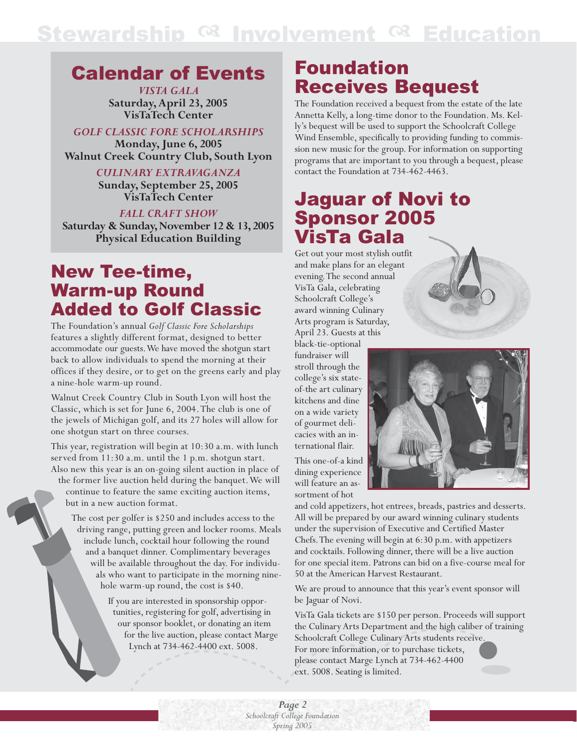# Stewardship <sup>og</sup> Involvement <sup>og</sup> Education

## Calendar of Events

*VISTA GALA* **Saturday, April 23, 2005 VisTaTech Center**

*GOLF CLASSIC FORE SCHOLARSHIPS* 

**Monday, June 6, 2005 Walnut Creek Country Club, South Lyon**

> *CULINARY EXTRAVAGANZA*  **Sunday, September 25, 2005 VisTaTech Center**

> > *FALL CRAFT SHOW*

**Saturday & Sunday, November 12 & 13, 2005 Physical Education Building**

## New Tee-time, Warm-up Round Added to Golf Classic

The Foundation's annual *Golf Classic Fore Scholarships* features a slightly different format, designed to better accommodate our guests. We have moved the shotgun start back to allow individuals to spend the morning at their offices if they desire, or to get on the greens early and play a nine-hole warm-up round.

Walnut Creek Country Club in South Lyon will host the Classic, which is set for June 6, 2004. The club is one of the jewels of Michigan golf, and its 27 holes will allow for one shotgun start on three courses.

This year, registration will begin at 10:30 a.m. with lunch served from 11:30 a.m. until the 1 p.m. shotgun start. Also new this year is an on-going silent auction in place of the former live auction held during the banquet. We will continue to feature the same exciting auction items, but in a new auction format.

The cost per golfer is \$250 and includes access to the driving range, putting green and locker rooms. Meals include lunch, cocktail hour following the round and a banquet dinner. Complimentary beverages will be available throughout the day. For individuals who want to participate in the morning ninehole warm-up round, the cost is \$40.

> If you are interested in sponsorship opportunities, registering for golf, advertising in our sponsor booklet, or donating an item for the live auction, please contact Marge Lynch at 734-462-4400 ext. 5008.

## Foundation Receives Bequest

The Foundation received a bequest from the estate of the late Annetta Kelly, a long-time donor to the Foundation. Ms. Kelly's bequest will be used to support the Schoolcraft College Wind Ensemble, specifically to providing funding to commission new music for the group. For information on supporting programs that are important to you through a bequest, please contact the Foundation at 734-462-4463.

## Jaguar of Novi to Sponsor 2005 VisTa Gala

Get out your most stylish outfit and make plans for an elegant evening. The second annual VisTa Gala, celebrating Schoolcraft College's award winning Culinary Arts program is Saturday, April 23. Guests at this

black-tie-optional fundraiser will stroll through the college's six stateof-the art culinary kitchens and dine on a wide variety of gourmet delicacies with an international flair.

This one-of-a kind dining experience will feature an assortment of hot

and cold appetizers, hot entrees, breads, pastries and desserts. All will be prepared by our award winning culinary students under the supervision of Executive and Certified Master Chefs. The evening will begin at 6:30 p.m. with appetizers and cocktails. Following dinner, there will be a live auction for one special item. Patrons can bid on a five-course meal for 50 at the American Harvest Restaurant.

We are proud to announce that this year's event sponsor will be Jaguar of Novi.

VisTa Gala tickets are \$150 per person. Proceeds will support the Culinary Arts Department and the high caliber of training Schoolcraft College Culinary Arts students receive. For more information, or to purchase tickets, please contact Marge Lynch at 734-462-4400 ext. 5008. Seating is limited.

*Page 2 Schoolcraft College Foundation Spring 2005*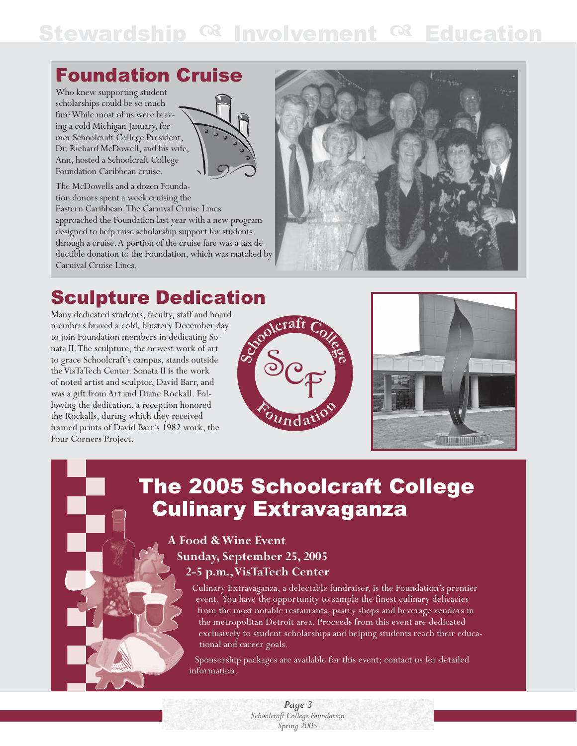# Stewardship  $^{CR}$  Involvement  $^{CR}$  Education

## Foundation Cruise

Who knew supporting student scholarships could be so much fun? While most of us were braving a cold Michigan January, former Schoolcraft College President, Dr. Richard McDowell, and his wife, Ann, hosted a Schoolcraft College Foundation Caribbean cruise.

The McDowells and a dozen Foundation donors spent a week cruising the Eastern Caribbean. The Carnival Cruise Lines approached the Foundation last year with a new program designed to help raise scholarship support for students through a cruise. A portion of the cruise fare was a tax deductible donation to the Foundation, which was matched by Carnival Cruise Lines.



**Sculpture Dedication**<br>
Many dedicated students, faculty, staff and board<br>
members braved a cold, blustery December day<br>
to join Foundation members in dedicating So-<br>
nata II. The sculpture, the newest weather to grace Sch Many dedicated students, faculty, staff and board members braved a cold, blustery December day to join Foundation members in dedicating Sonata II. The sculpture, the newest work of art to grace Schoolcraft's campus, stands outside the VisTaTech Center. Sonata II is the work of noted artist and sculptor, David Barr, and was a gift from Art and Diane Rockall. Following the dedication, a reception honored the Rockalls, during which they received framed prints of David Barr's 1982 work, the Four Corners Project.





# The 2005 Schoolcraft College Culinary Extravaganza

### **A Food & Wine Event Sunday, September 25, 2005 2-5 p.m., VisTaTech Center**

Culinary Extravaganza, a delectable fundraiser, is the Foundation's premier event. You have the opportunity to sample the finest culinary delicacies from the most notable restaurants, pastry shops and beverage vendors in the metropolitan Detroit area. Proceeds from this event are dedicated exclusively to student scholarships and helping students reach their educational and career goals.

Sponsorship packages are available for this event; contact us for detailed information.

> *Page 3 Schoolcraft College Foundation Spring 2005*